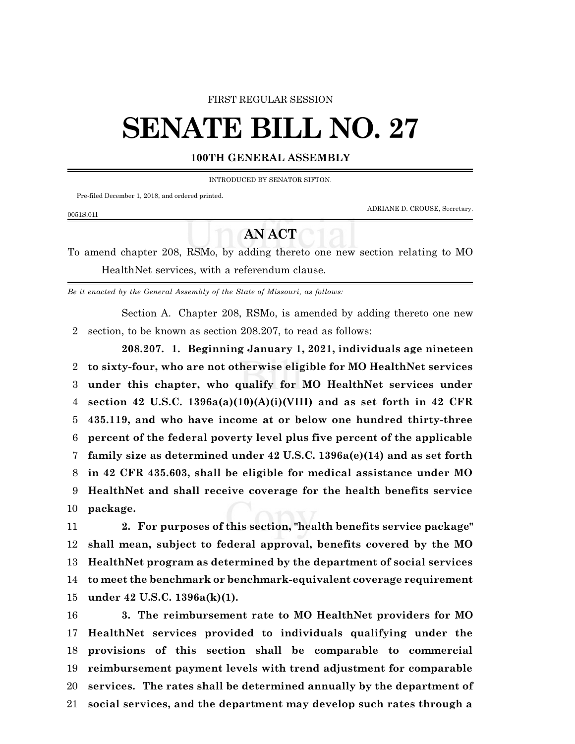### FIRST REGULAR SESSION

# **SENATE BILL NO. 27**

## **100TH GENERAL ASSEMBLY**

INTRODUCED BY SENATOR SIFTON.

Pre-filed December 1, 2018, and ordered printed.

ADRIANE D. CROUSE, Secretary.

## **AN ACT**

To amend chapter 208, RSMo, by adding thereto one new section relating to MO HealthNet services, with a referendum clause.

*Be it enacted by the General Assembly of the State of Missouri, as follows:*

Section A. Chapter 208, RSMo, is amended by adding thereto one new section, to be known as section 208.207, to read as follows:

**208.207. 1. Beginning January 1, 2021, individuals age nineteen to sixty-four, who are not otherwise eligible for MO HealthNet services under this chapter, who qualify for MO HealthNet services under section 42 U.S.C. 1396a(a)(10)(A)(i)(VIII) and as set forth in 42 CFR 435.119, and who have income at or below one hundred thirty-three percent of the federal poverty level plus five percent of the applicable family size as determined under 42 U.S.C. 1396a(e)(14) and as set forth in 42 CFR 435.603, shall be eligible for medical assistance under MO HealthNet and shall receive coverage for the health benefits service package.**

 **2. For purposes of this section, "health benefits service package" shall mean, subject to federal approval, benefits covered by the MO HealthNet program as determined by the department of social services to meet the benchmark or benchmark-equivalent coverage requirement under 42 U.S.C. 1396a(k)(1).**

 **3. The reimbursement rate to MO HealthNet providers for MO HealthNet services provided to individuals qualifying under the provisions of this section shall be comparable to commercial reimbursement payment levels with trend adjustment for comparable services. The rates shall be determined annually by the department of social services, and the department may develop such rates through a**

#### 0051S.01I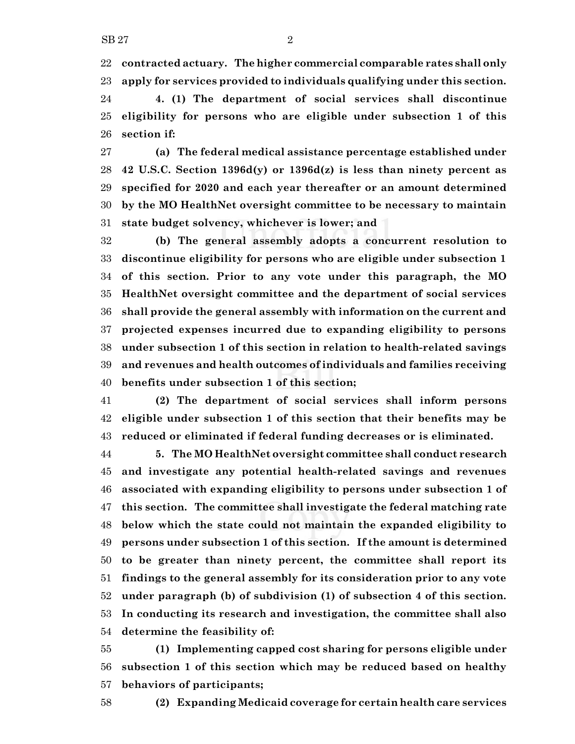**contracted actuary. Thehigher commercial comparable rates shall only apply for services provided to individuals qualifying under this section.**

 **4. (1) The department of social services shall discontinue eligibility for persons who are eligible under subsection 1 of this section if:**

 **(a) The federal medical assistance percentage established under 42 U.S.C. Section 1396d(y) or 1396d(z) is less than ninety percent as specified for 2020 and each year thereafter or an amount determined by the MO HealthNet oversight committee to be necessary to maintain state budget solvency, whichever is lower; and**

 **(b) The general assembly adopts a concurrent resolution to discontinue eligibility for persons who are eligible under subsection 1 of this section. Prior to any vote under this paragraph, the MO HealthNet oversight committee and the department of social services shall provide the general assembly with information on the current and projected expenses incurred due to expanding eligibility to persons under subsection 1 of this section in relation to health-related savings and revenues and health outcomes of individuals and families receiving benefits under subsection 1 of this section;**

 **(2) The department of social services shall inform persons eligible under subsection 1 of this section that their benefits may be reduced or eliminated if federal funding decreases or is eliminated.**

 **5. The MO HealthNet oversight committee shall conduct research and investigate any potential health-related savings and revenues associated with expanding eligibility to persons under subsection 1 of this section. The committee shall investigate the federal matching rate below which the state could not maintain the expanded eligibility to persons under subsection 1 of this section. If the amount is determined to be greater than ninety percent, the committee shall report its findings to the general assembly for its consideration prior to any vote under paragraph (b) of subdivision (1) of subsection 4 of this section. In conducting its research and investigation, the committee shall also determine the feasibility of:**

 **(1) Implementing capped cost sharing for persons eligible under subsection 1 of this section which may be reduced based on healthy behaviors of participants;**

**(2) Expanding Medicaid coverage for certain health care services**